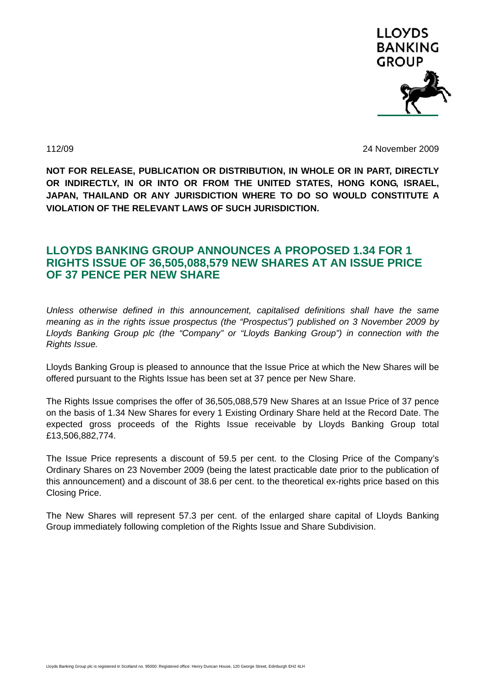

112/09 24 November 2009

**NOT FOR RELEASE, PUBLICATION OR DISTRIBUTION, IN WHOLE OR IN PART, DIRECTLY OR INDIRECTLY, IN OR INTO OR FROM THE UNITED STATES, HONG KONG, ISRAEL, JAPAN, THAILAND OR ANY JURISDICTION WHERE TO DO SO WOULD CONSTITUTE A VIOLATION OF THE RELEVANT LAWS OF SUCH JURISDICTION.** 

## **LLOYDS BANKING GROUP ANNOUNCES A PROPOSED 1.34 FOR 1 RIGHTS ISSUE OF 36,505,088,579 NEW SHARES AT AN ISSUE PRICE OF 37 PENCE PER NEW SHARE**

*Unless otherwise defined in this announcement, capitalised definitions shall have the same meaning as in the rights issue prospectus (the "Prospectus") published on 3 November 2009 by Lloyds Banking Group plc (the "Company" or "Lloyds Banking Group") in connection with the Rights Issue.* 

Lloyds Banking Group is pleased to announce that the Issue Price at which the New Shares will be offered pursuant to the Rights Issue has been set at 37 pence per New Share.

The Rights Issue comprises the offer of 36,505,088,579 New Shares at an Issue Price of 37 pence on the basis of 1.34 New Shares for every 1 Existing Ordinary Share held at the Record Date. The expected gross proceeds of the Rights Issue receivable by Lloyds Banking Group total £13,506,882,774.

The Issue Price represents a discount of 59.5 per cent. to the Closing Price of the Company's Ordinary Shares on 23 November 2009 (being the latest practicable date prior to the publication of this announcement) and a discount of 38.6 per cent. to the theoretical ex-rights price based on this Closing Price.

The New Shares will represent 57.3 per cent. of the enlarged share capital of Lloyds Banking Group immediately following completion of the Rights Issue and Share Subdivision.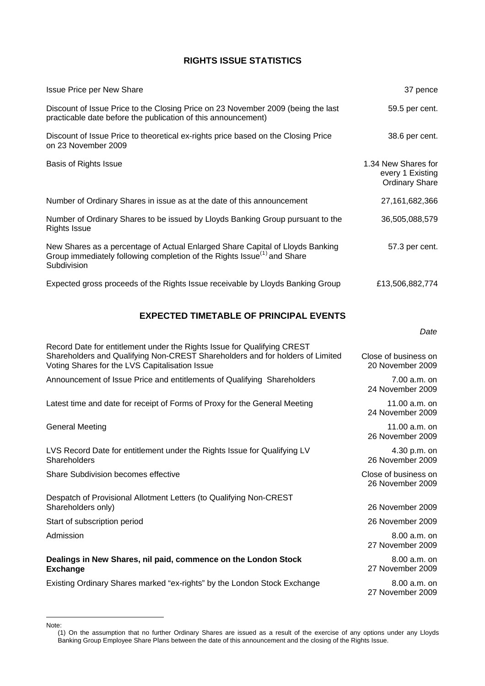## **RIGHTS ISSUE STATISTICS**

| <b>Issue Price per New Share</b>                                                                                                                                                    | 37 pence                                                         |
|-------------------------------------------------------------------------------------------------------------------------------------------------------------------------------------|------------------------------------------------------------------|
| Discount of Issue Price to the Closing Price on 23 November 2009 (being the last<br>practicable date before the publication of this announcement)                                   | 59.5 per cent.                                                   |
| Discount of Issue Price to theoretical ex-rights price based on the Closing Price<br>on 23 November 2009                                                                            | 38.6 per cent.                                                   |
| Basis of Rights Issue                                                                                                                                                               | 1.34 New Shares for<br>every 1 Existing<br><b>Ordinary Share</b> |
| Number of Ordinary Shares in issue as at the date of this announcement                                                                                                              | 27,161,682,366                                                   |
| Number of Ordinary Shares to be issued by Lloyds Banking Group pursuant to the<br><b>Rights Issue</b>                                                                               | 36,505,088,579                                                   |
| New Shares as a percentage of Actual Enlarged Share Capital of Lloyds Banking<br>Group immediately following completion of the Rights Issue <sup>(1)</sup> and Share<br>Subdivision | 57.3 per cent.                                                   |
| Expected gross proceeds of the Rights Issue receivable by Lloyds Banking Group                                                                                                      | £13,506,882,774                                                  |

## **EXPECTED TIMETABLE OF PRINCIPAL EVENTS**

| Date |
|------|
|      |

| Record Date for entitlement under the Rights Issue for Qualifying CREST<br>Shareholders and Qualifying Non-CREST Shareholders and for holders of Limited<br>Voting Shares for the LVS Capitalisation Issue | Close of business on<br>20 November 2009 |
|------------------------------------------------------------------------------------------------------------------------------------------------------------------------------------------------------------|------------------------------------------|
| Announcement of Issue Price and entitlements of Qualifying Shareholders                                                                                                                                    | $7.00 a.m.$ on<br>24 November 2009       |
| Latest time and date for receipt of Forms of Proxy for the General Meeting                                                                                                                                 | 11.00 $a.m.$ on<br>24 November 2009      |
| <b>General Meeting</b>                                                                                                                                                                                     | 11.00 $a.m.$ on<br>26 November 2009      |
| LVS Record Date for entitlement under the Rights Issue for Qualifying LV<br>Shareholders                                                                                                                   | $4.30 p.m.$ on<br>26 November 2009       |
| <b>Share Subdivision becomes effective</b>                                                                                                                                                                 | Close of business on<br>26 November 2009 |
| Despatch of Provisional Allotment Letters (to Qualifying Non-CREST<br>Shareholders only)                                                                                                                   | 26 November 2009                         |
| Start of subscription period                                                                                                                                                                               | 26 November 2009                         |
| Admission                                                                                                                                                                                                  | $8.00 a.m.$ on<br>27 November 2009       |
| Dealings in New Shares, nil paid, commence on the London Stock<br><b>Exchange</b>                                                                                                                          | 8.00 a.m. on<br>27 November 2009         |
| Existing Ordinary Shares marked "ex-rights" by the London Stock Exchange                                                                                                                                   | $8.00 a.m.$ on<br>27 November 2009       |

 $\overline{a}$ 

<span id="page-1-0"></span>Note: (1) On the assumption that no further Ordinary Shares are issued as a result of the exercise of any options under any Lloyds Banking Group Employee Share Plans between the date of this announcement and the closing of the Rights Issue.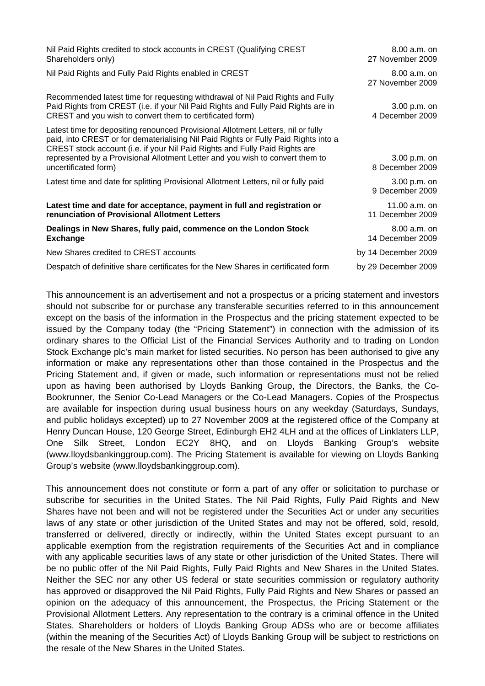| Nil Paid Rights credited to stock accounts in CREST (Qualifying CREST<br>Shareholders only)                                                                                                                                                                                                                                                                     | $8.00 a.m.$ on<br>27 November 2009 |
|-----------------------------------------------------------------------------------------------------------------------------------------------------------------------------------------------------------------------------------------------------------------------------------------------------------------------------------------------------------------|------------------------------------|
| Nil Paid Rights and Fully Paid Rights enabled in CREST                                                                                                                                                                                                                                                                                                          | $8.00 a.m.$ on<br>27 November 2009 |
| Recommended latest time for requesting withdrawal of Nil Paid Rights and Fully<br>Paid Rights from CREST (i.e. if your Nil Paid Rights and Fully Paid Rights are in<br>CREST and you wish to convert them to certificated form)                                                                                                                                 | 3.00 p.m. on<br>4 December 2009    |
| Latest time for depositing renounced Provisional Allotment Letters, nil or fully<br>paid, into CREST or for dematerialising Nil Paid Rights or Fully Paid Rights into a<br>CREST stock account (i.e. if your Nil Paid Rights and Fully Paid Rights are<br>represented by a Provisional Allotment Letter and you wish to convert them to<br>uncertificated form) | 3.00 p.m. on<br>8 December 2009    |
| Latest time and date for splitting Provisional Allotment Letters, nil or fully paid                                                                                                                                                                                                                                                                             | 3.00 p.m. on<br>9 December 2009    |
| Latest time and date for acceptance, payment in full and registration or<br>renunciation of Provisional Allotment Letters                                                                                                                                                                                                                                       | 11.00 a.m. on<br>11 December 2009  |
| Dealings in New Shares, fully paid, commence on the London Stock<br><b>Exchange</b>                                                                                                                                                                                                                                                                             | $8.00 a.m.$ on<br>14 December 2009 |
| New Shares credited to CREST accounts                                                                                                                                                                                                                                                                                                                           | by 14 December 2009                |
| Despatch of definitive share certificates for the New Shares in certificated form                                                                                                                                                                                                                                                                               | by 29 December 2009                |

This announcement is an advertisement and not a prospectus or a pricing statement and investors should not subscribe for or purchase any transferable securities referred to in this announcement except on the basis of the information in the Prospectus and the pricing statement expected to be issued by the Company today (the "Pricing Statement") in connection with the admission of its ordinary shares to the Official List of the Financial Services Authority and to trading on London Stock Exchange plc's main market for listed securities. No person has been authorised to give any information or make any representations other than those contained in the Prospectus and the Pricing Statement and, if given or made, such information or representations must not be relied upon as having been authorised by Lloyds Banking Group, the Directors, the Banks, the Co-Bookrunner, the Senior Co-Lead Managers or the Co-Lead Managers. Copies of the Prospectus are available for inspection during usual business hours on any weekday (Saturdays, Sundays, and public holidays excepted) up to 27 November 2009 at the registered office of the Company at Henry Duncan House, 120 George Street, Edinburgh EH2 4LH and at the offices of Linklaters LLP, One Silk Street, London EC2Y 8HQ, and on Lloyds Banking Group's website (www.lloydsbankinggroup.com). The Pricing Statement is available for viewing on Lloyds Banking Group's website [\(www.lloydsbankinggroup.com\)](http://www.lloydsbankinggroup.com/).

This announcement does not constitute or form a part of any offer or solicitation to purchase or subscribe for securities in the United States. The Nil Paid Rights, Fully Paid Rights and New Shares have not been and will not be registered under the Securities Act or under any securities laws of any state or other jurisdiction of the United States and may not be offered, sold, resold, transferred or delivered, directly or indirectly, within the United States except pursuant to an applicable exemption from the registration requirements of the Securities Act and in compliance with any applicable securities laws of any state or other jurisdiction of the United States. There will be no public offer of the Nil Paid Rights, Fully Paid Rights and New Shares in the United States. Neither the SEC nor any other US federal or state securities commission or regulatory authority has approved or disapproved the Nil Paid Rights, Fully Paid Rights and New Shares or passed an opinion on the adequacy of this announcement, the Prospectus, the Pricing Statement or the Provisional Allotment Letters. Any representation to the contrary is a criminal offence in the United States. Shareholders or holders of Lloyds Banking Group ADSs who are or become affiliates (within the meaning of the Securities Act) of Lloyds Banking Group will be subject to restrictions on the resale of the New Shares in the United States.